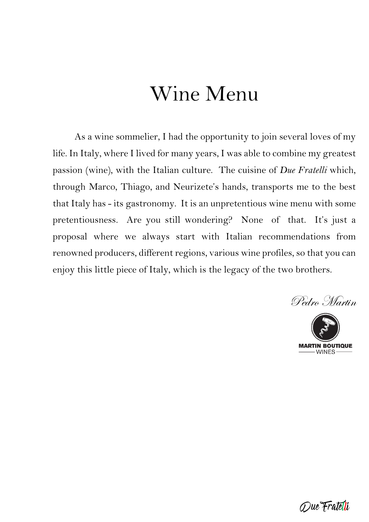# Wine Menu

As a wine sommelier, I had the opportunity to join several loves of my life. In Italy, where I lived for many years, I was able to combine my greatest passion (wine), with the Italian culture. The cuisine of *Due Fratelli* which, through Marco, Thiago, and Neurizete's hands, transports me to the best that Italy has - its gastronomy. It is an unpretentious wine menu with some pretentiousness. Are you still wondering? None of that. It's just a proposal where we always start with Italian recommendations from renowned producers, different regions, various wine profiles, so that you can enjoy this little piece of Italy, which is the legacy of the two brothers.

Due Fratelli

Pedro Martin

**MARTIN BOUTIQUE**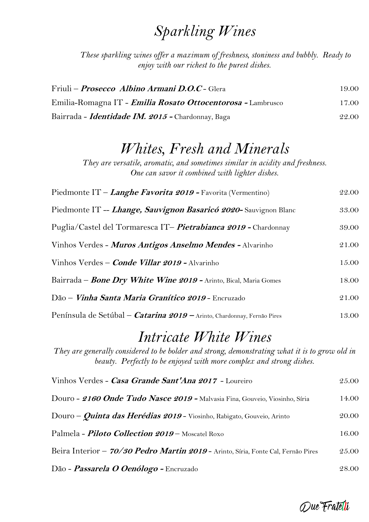### *Sparkling Wines*

*These sparkling wines offer a maximum of freshness, stoniness and bubbly. Ready to enjoy with our richest to the purest dishes.*

| Friuli – <i>Prosecco Albino Armani D.O.C</i> - Glera<br>Emilia-Romagna IT - <i>Emilia Rosato Ottocentorosa</i> - Lambrusco | 19.00<br>17.00 |
|----------------------------------------------------------------------------------------------------------------------------|----------------|
|                                                                                                                            |                |

### *Whites, Fresh and Minerals*

*They are versatile, aromatic, and sometimes similar in acidity and freshness. One can savor it combined with lighter dishes.*

| Piedmonte IT – <i>Langhe Favorita 2019</i> - Favorita (Vermentino)             | 22.00 |
|--------------------------------------------------------------------------------|-------|
| Piedmonte IT -- <i>Lhange, Sauvignon Basaricó 2020</i> - Sauvignon Blanc       | 33.00 |
| Puglia/Castel del Tormaresca IT- <i>Pietrabianca 2019</i> - Chardonnay         | 39.00 |
| Vinhos Verdes - <i>Muros Antigos Anselmo Mendes -</i> Alvarinho                | 21.00 |
| Vinhos Verdes – <i>Conde Villar 2019 -</i> Alvarinho                           | 15.00 |
| Bairrada – <i>Bone Dry White Wine 2019</i> - Arinto, Bical, Maria Gomes        | 18.00 |
| Dão – <i>Vinha Santa Maria Granítico 2019</i> - Encruzado                      | 21.00 |
| Península de Setúbal – <i>Catarina 2019</i> – Arinto, Chardonnay, Fernão Pires | 13.00 |

# *Intricate White Wines*

*They are generally considered to be bolder and strong, demonstrating what it is to grow old in beauty. Perfectly to be enjoyed with more complex and strong dishes.*

| Vinhos Verdes - Casa Grande Sant'Ana 2017 - Loureiro                              | 25.00 |
|-----------------------------------------------------------------------------------|-------|
| Douro - 2160 Onde Tudo Nasce 2019 - Malvasia Fina, Gouveio, Viosinho, Síria       | 14.00 |
| Douro - <i>Quinta das Herédias 2019</i> - Viosinho, Rabigato, Gouveio, Arinto     | 20.00 |
| Palmela - <i>Piloto Collection 2019</i> – Moscatel Roxo                           | 16.00 |
| Beira Interior - 70/30 Pedro Martin 2019 - Arinto, Síria, Fonte Cal, Fernão Pires | 25.00 |
| Dão - <i>Passarela O Oenólogo</i> - Encruzado                                     | 28.00 |

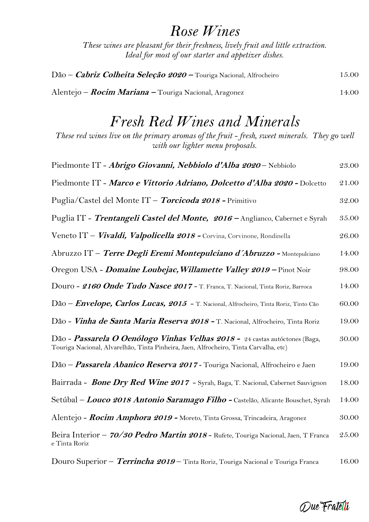#### *Rose Wines*

*These wines are pleasant for their freshness, lively fruit and little extraction. Ideal for most of our starter and appetizer dishes.*

| Dão – <i>Cabriz Colheita Seleção 2020</i> – Touriga Nacional, Alfrocheiro | 15.00  |
|---------------------------------------------------------------------------|--------|
| Alentejo – <i>Rocim Mariana</i> – Touriga Nacional, Aragonez              | 14.00- |

### *Fresh Red Wines and Minerals*

*These red wines live on the primary aromas of the fruit - fresh, sweet minerals. They go well with our lighter menu proposals.*

| Piedmonte IT - Abrigo Giovanni, Nebbiolo d'Alba 2020 - Nebbiolo                                                                                                      | 23.00 |
|----------------------------------------------------------------------------------------------------------------------------------------------------------------------|-------|
| Piedmonte IT - Marco e Vittorio Adriano, Dolcetto d'Alba 2020 - Dolcetto                                                                                             | 21.00 |
| Puglia/Castel del Monte IT - Torcicoda 2018 - Primitivo                                                                                                              | 32.00 |
| Puglia IT - Trentangeli Castel del Monte, 2016 – Anglianco, Cabernet e Syrah                                                                                         | 35.00 |
| Veneto IT - <i>Vivaldi, Valpolicella 2018</i> - Corvina, Corvinone, Rondinella                                                                                       | 26.00 |
| Abruzzo IT - Terre Degli Eremi Montepulciano d'Abruzzo - Montepulciano                                                                                               | 14.00 |
| Oregon USA - <i>Domaine Loubejac, Willamette Valley 2019</i> - Pinot Noir                                                                                            | 98.00 |
| Douro - 2160 Onde Tudo Nasce 2017 - T. Franca, T. Nacional, Tinta Roriz, Barroca                                                                                     | 14.00 |
| Dão - <i>Envelope, Carlos Lucas, 2015</i> - T. Nacional, Alfrocheiro, Tinta Roriz, Tinto Cão                                                                         | 60.00 |
| Dão - Vinha de Santa Maria Reserva 2018 - T. Nacional, Alfrocheiro, Tinta Roriz                                                                                      | 19.00 |
| Dão - Passarela O Oenólogo Vinhas Velhas 2018 - 24 castas autóctones (Baga,<br>Touriga Nacional, Alvarelhão, Tinta Pinheira, Jaen, Alfrocheiro, Tinta Carvalha, etc) |       |
| Dão - Passarela Abanico Reserva 2017 - Touriga Nacional, Alfrocheiro e Jaen                                                                                          | 19.00 |
| Bairrada - <i>Bone Dry Red Wine 2017</i> - Syrah, Baga, T. Nacional, Cabernet Sauvignon                                                                              | 18.00 |
| Setúbal – Louco 2018 Antonio Saramago Filho - Castelão, Alicante Bouschet, Syrah                                                                                     | 14.00 |
| Alentejo - <i>Rocim Amphora 2019 -</i> Moreto, Tinta Grossa, Trincadeira, Aragonez                                                                                   | 30.00 |
| Beira Interior - 70/30 Pedro Martin 2018 - Rufete, Touriga Nacional, Jaen, T Franca<br>e Tinta Roriz                                                                 | 25.00 |
|                                                                                                                                                                      |       |

Douro Superior – **Terrincha <sup>2019</sup>** – Tinta Roriz, Touriga Nacional e Touriga Franca 16.00

Que Fratelli